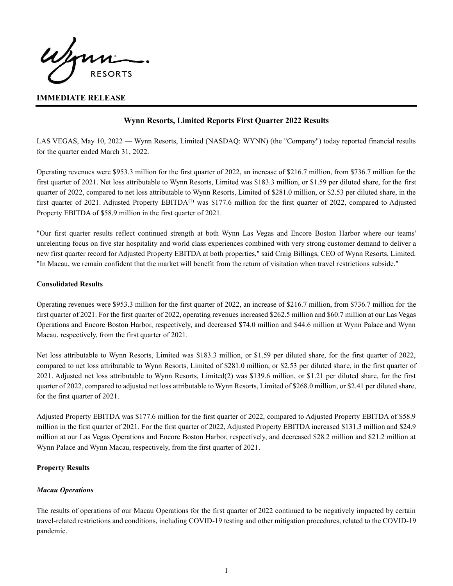Wynn **RESORTS** 

# **IMMEDIATE RELEASE**

## **Wynn Resorts, Limited Reports First Quarter 2022 Results**

LAS VEGAS, May 10, 2022 — Wynn Resorts, Limited (NASDAQ: WYNN) (the "Company") today reported financial results for the quarter ended March 31, 2022.

Operating revenues were \$953.3 million for the first quarter of 2022, an increase of \$216.7 million, from \$736.7 million for the first quarter of 2021. Net loss attributable to Wynn Resorts, Limited was \$183.3 million, or \$1.59 per diluted share, for the first quarter of 2022, compared to net loss attributable to Wynn Resorts, Limited of \$281.0 million, or \$2.53 per diluted share, in the first quarter of 2021. Adjusted Property EBITDA<sup>(1)</sup> was \$177.6 million for the first quarter of 2022, compared to Adjusted Property EBITDA of \$58.9 million in the first quarter of 2021.

"Our first quarter results reflect continued strength at both Wynn Las Vegas and Encore Boston Harbor where our teams' unrelenting focus on five star hospitality and world class experiences combined with very strong customer demand to deliver a new first quarter record for Adjusted Property EBITDA at both properties," said Craig Billings, CEO of Wynn Resorts, Limited. "In Macau, we remain confident that the market will benefit from the return of visitation when travel restrictions subside."

#### **Consolidated Results**

Operating revenues were \$953.3 million for the first quarter of 2022, an increase of \$216.7 million, from \$736.7 million for the first quarter of 2021. For the first quarter of 2022, operating revenues increased \$262.5 million and \$60.7 million at our Las Vegas Operations and Encore Boston Harbor, respectively, and decreased \$74.0 million and \$44.6 million at Wynn Palace and Wynn Macau, respectively, from the first quarter of 2021.

Net loss attributable to Wynn Resorts, Limited was \$183.3 million, or \$1.59 per diluted share, for the first quarter of 2022, compared to net loss attributable to Wynn Resorts, Limited of \$281.0 million, or \$2.53 per diluted share, in the first quarter of 2021. Adjusted net loss attributable to Wynn Resorts, Limited(2) was \$139.6 million, or \$1.21 per diluted share, for the first quarter of 2022, compared to adjusted net loss attributable to Wynn Resorts, Limited of \$268.0 million, or \$2.41 per diluted share, for the first quarter of 2021.

Adjusted Property EBITDA was \$177.6 million for the first quarter of 2022, compared to Adjusted Property EBITDA of \$58.9 million in the first quarter of 2021. For the first quarter of 2022, Adjusted Property EBITDA increased \$131.3 million and \$24.9 million at our Las Vegas Operations and Encore Boston Harbor, respectively, and decreased \$28.2 million and \$21.2 million at Wynn Palace and Wynn Macau, respectively, from the first quarter of 2021.

## **Property Results**

## *Macau Operations*

The results of operations of our Macau Operations for the first quarter of 2022 continued to be negatively impacted by certain travel-related restrictions and conditions, including COVID-19 testing and other mitigation procedures, related to the COVID-19 pandemic.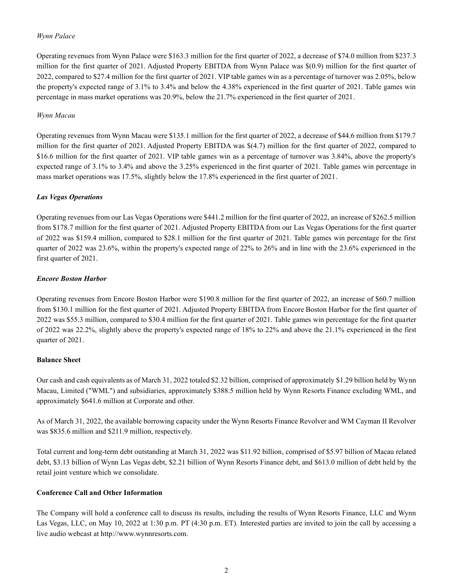## *Wynn Palace*

Operating revenues from Wynn Palace were \$163.3 million for the first quarter of 2022, a decrease of \$74.0 million from \$237.3 million for the first quarter of 2021. Adjusted Property EBITDA from Wynn Palace was \$(0.9) million for the first quarter of 2022, compared to \$27.4 million for the first quarter of 2021. VIP table games win as a percentage of turnover was 2.05%, below the property's expected range of 3.1% to 3.4% and below the 4.38% experienced in the first quarter of 2021. Table games win percentage in mass market operations was 20.9%, below the 21.7% experienced in the first quarter of 2021.

#### *Wynn Macau*

Operating revenues from Wynn Macau were \$135.1 million for the first quarter of 2022, a decrease of \$44.6 million from \$179.7 million for the first quarter of 2021. Adjusted Property EBITDA was \$(4.7) million for the first quarter of 2022, compared to \$16.6 million for the first quarter of 2021. VIP table games win as a percentage of turnover was 3.84%, above the property's expected range of 3.1% to 3.4% and above the 3.25% experienced in the first quarter of 2021. Table games win percentage in mass market operations was 17.5%, slightly below the 17.8% experienced in the first quarter of 2021.

## *Las Vegas Operations*

Operating revenues from our Las Vegas Operations were \$441.2 million for the first quarter of 2022, an increase of \$262.5 million from \$178.7 million for the first quarter of 2021. Adjusted Property EBITDA from our Las Vegas Operations for the first quarter of 2022 was \$159.4 million, compared to \$28.1 million for the first quarter of 2021. Table games win percentage for the first quarter of 2022 was 23.6%, within the property's expected range of 22% to 26% and in line with the 23.6% experienced in the first quarter of 2021.

## *Encore Boston Harbor*

Operating revenues from Encore Boston Harbor were \$190.8 million for the first quarter of 2022, an increase of \$60.7 million from \$130.1 million for the first quarter of 2021. Adjusted Property EBITDA from Encore Boston Harbor for the first quarter of 2022 was \$55.3 million, compared to \$30.4 million for the first quarter of 2021. Table games win percentage for the first quarter of 2022 was 22.2%, slightly above the property's expected range of 18% to 22% and above the 21.1% experienced in the first quarter of 2021.

## **Balance Sheet**

Our cash and cash equivalents as of March 31, 2022 totaled \$2.32 billion, comprised of approximately \$1.29 billion held by Wynn Macau, Limited ("WML") and subsidiaries, approximately \$388.5 million held by Wynn Resorts Finance excluding WML, and approximately \$641.6 million at Corporate and other.

As of March 31, 2022, the available borrowing capacity under the Wynn Resorts Finance Revolver and WM Cayman II Revolver was \$835.6 million and \$211.9 million, respectively.

Total current and long-term debt outstanding at March 31, 2022 was \$11.92 billion, comprised of \$5.97 billion of Macau related debt, \$3.13 billion of Wynn Las Vegas debt, \$2.21 billion of Wynn Resorts Finance debt, and \$613.0 million of debt held by the retail joint venture which we consolidate.

## **Conference Call and Other Information**

The Company will hold a conference call to discuss its results, including the results of Wynn Resorts Finance, LLC and Wynn Las Vegas, LLC, on May 10, 2022 at 1:30 p.m. PT (4:30 p.m. ET). Interested parties are invited to join the call by accessing a live audio webcast at http://www.wynnresorts.com.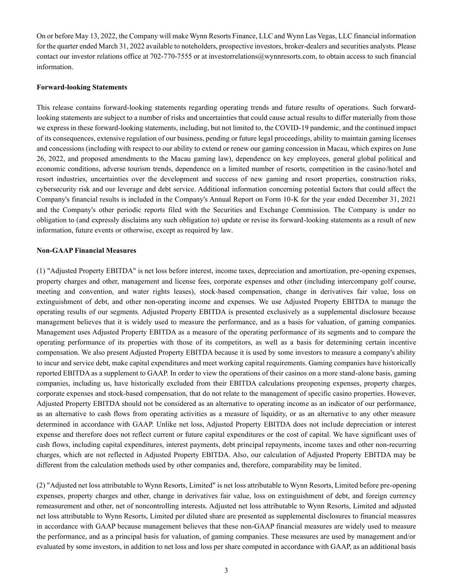On or before May 13, 2022, the Company will make Wynn Resorts Finance, LLC and Wynn Las Vegas, LLC financial information for the quarter ended March 31, 2022 available to noteholders, prospective investors, broker-dealers and securities analysts. Please contact our investor relations office at 702-770-7555 or at investorrelations@wynnresorts.com, to obtain access to such financial information.

#### **Forward-looking Statements**

This release contains forward-looking statements regarding operating trends and future results of operations. Such forwardlooking statements are subject to a number of risks and uncertainties that could cause actual results to differ materially from those we express in these forward-looking statements, including, but not limited to, the COVID-19 pandemic, and the continued impact of its consequences, extensive regulation of our business, pending or future legal proceedings, ability to maintain gaming licenses and concessions (including with respect to our ability to extend or renew our gaming concession in Macau, which expires on June 26, 2022, and proposed amendments to the Macau gaming law), dependence on key employees, general global political and economic conditions, adverse tourism trends, dependence on a limited number of resorts, competition in the casino/hotel and resort industries, uncertainties over the development and success of new gaming and resort properties, construction risks, cybersecurity risk and our leverage and debt service. Additional information concerning potential factors that could affect the Company's financial results is included in the Company's Annual Report on Form 10-K for the year ended December 31, 2021 and the Company's other periodic reports filed with the Securities and Exchange Commission. The Company is under no obligation to (and expressly disclaims any such obligation to) update or revise its forward-looking statements as a result of new information, future events or otherwise, except as required by law.

#### **Non-GAAP Financial Measures**

(1) "Adjusted Property EBITDA" is net loss before interest, income taxes, depreciation and amortization, pre-opening expenses, property charges and other, management and license fees, corporate expenses and other (including intercompany golf course, meeting and convention, and water rights leases), stock-based compensation, change in derivatives fair value, loss on extinguishment of debt, and other non-operating income and expenses. We use Adjusted Property EBITDA to manage the operating results of our segments. Adjusted Property EBITDA is presented exclusively as a supplemental disclosure because management believes that it is widely used to measure the performance, and as a basis for valuation, of gaming companies. Management uses Adjusted Property EBITDA as a measure of the operating performance of its segments and to compare the operating performance of its properties with those of its competitors, as well as a basis for determining certain incentive compensation. We also present Adjusted Property EBITDA because it is used by some investors to measure a company's ability to incur and service debt, make capital expenditures and meet working capital requirements. Gaming companies have historically reported EBITDA as a supplement to GAAP. In order to view the operations of their casinos on a more stand-alone basis, gaming companies, including us, have historically excluded from their EBITDA calculations preopening expenses, property charges, corporate expenses and stock-based compensation, that do not relate to the management of specific casino properties. However, Adjusted Property EBITDA should not be considered as an alternative to operating income as an indicator of our performance, as an alternative to cash flows from operating activities as a measure of liquidity, or as an alternative to any other measure determined in accordance with GAAP. Unlike net loss, Adjusted Property EBITDA does not include depreciation or interest expense and therefore does not reflect current or future capital expenditures or the cost of capital. We have significant uses of cash flows, including capital expenditures, interest payments, debt principal repayments, income taxes and other non-recurring charges, which are not reflected in Adjusted Property EBITDA. Also, our calculation of Adjusted Property EBITDA may be different from the calculation methods used by other companies and, therefore, comparability may be limited.

(2) "Adjusted net loss attributable to Wynn Resorts, Limited" is net loss attributable to Wynn Resorts, Limited before pre-opening expenses, property charges and other, change in derivatives fair value, loss on extinguishment of debt, and foreign currency remeasurement and other, net of noncontrolling interests. Adjusted net loss attributable to Wynn Resorts, Limited and adjusted net loss attributable to Wynn Resorts, Limited per diluted share are presented as supplemental disclosures to financial measures in accordance with GAAP because management believes that these non-GAAP financial measures are widely used to measure the performance, and as a principal basis for valuation, of gaming companies. These measures are used by management and/or evaluated by some investors, in addition to net loss and loss per share computed in accordance with GAAP, as an additional basis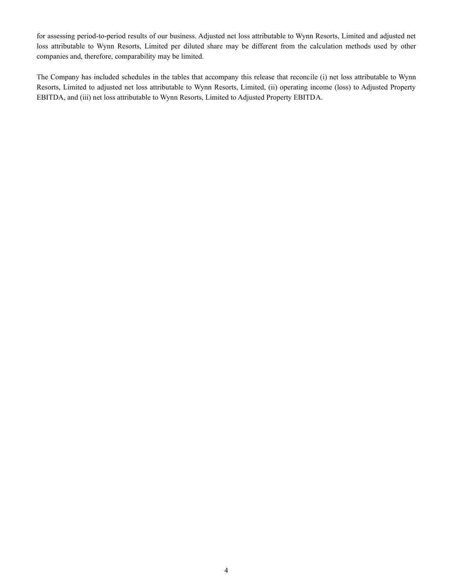for assessing period-to-period results of our business. Adjusted net loss attributable to Wynn Resorts, Limited and adjusted net loss attributable to Wynn Resorts, Limited per diluted share may be different from the calculation methods used by other companies and, therefore, comparability may be limited.

The Company has included schedules in the tables that accompany this release that reconcile (i) net loss attributable to Wynn Resorts, Limited to adjusted net loss attributable to Wynn Resorts, Limited, (ii) operating income (loss) to Adjusted Property EBITDA, and (iii) net loss attributable to Wynn Resorts, Limited to Adjusted Property EBITDA.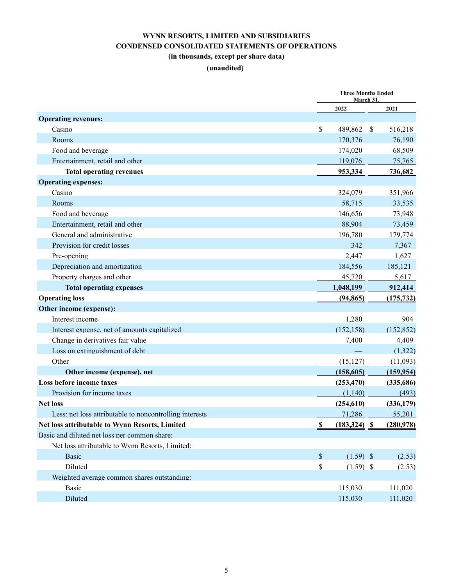# **WYNN RESORTS, LIMITED AND SUBSIDIARIES CONDENSED CONSOLIDATED STATEMENTS OF OPERATIONS**

# **(in thousands, except per share data)**

# **(unaudited)**

|                                                         | <b>Three Months Ended</b><br>March 31. |                         |
|---------------------------------------------------------|----------------------------------------|-------------------------|
|                                                         | 2022                                   | 2021                    |
| <b>Operating revenues:</b>                              |                                        |                         |
| Casino                                                  | \$<br>489,862                          | $\mathbb{S}$<br>516.218 |
| Rooms                                                   | 170,376                                | 76,190                  |
| Food and beverage                                       | 174,020                                | 68,509                  |
| Entertainment, retail and other                         | 119,076                                | 75,765                  |
| <b>Total operating revenues</b>                         | 953,334                                | 736,682                 |
| <b>Operating expenses:</b>                              |                                        |                         |
| Casino                                                  | 324,079                                | 351,966                 |
| Rooms                                                   | 58,715                                 | 33,535                  |
| Food and beverage                                       | 146,656                                | 73,948                  |
| Entertainment, retail and other                         | 88,904                                 | 73,459                  |
| General and administrative                              | 196,780                                | 179,774                 |
| Provision for credit losses                             | 342                                    | 7,367                   |
| Pre-opening                                             | 2,447                                  | 1,627                   |
| Depreciation and amortization                           | 184,556                                | 185,121                 |
| Property charges and other                              | 45,720                                 | 5,617                   |
| <b>Total operating expenses</b>                         | 1,048,199                              | 912,414                 |
| <b>Operating loss</b>                                   | (94, 865)                              | (175, 732)              |
| Other income (expense):                                 |                                        |                         |
| Interest income                                         | 1,280                                  | 904                     |
| Interest expense, net of amounts capitalized            | (152, 158)                             | (152, 852)              |
| Change in derivatives fair value                        | 7,400                                  | 4,409                   |
| Loss on extinguishment of debt                          |                                        | (1,322)                 |
| Other                                                   | (15, 127)                              | (11,093)                |
| Other income (expense), net                             | (158, 605)                             | (159,954)               |
| Loss before income taxes                                | (253, 470)                             | (335,686)               |
| Provision for income taxes                              | (1,140)                                | (493)                   |
| <b>Net loss</b>                                         | (254, 610)                             | (336,179)               |
| Less: net loss attributable to noncontrolling interests | 71,286                                 | 55,201                  |
| Net loss attributable to Wynn Resorts, Limited          | $(183, 324)$ \$<br>$\mathbf{s}$        | (280, 978)              |
| Basic and diluted net loss per common share:            |                                        |                         |
| Net loss attributable to Wynn Resorts, Limited:         |                                        |                         |
| <b>Basic</b>                                            | $\$$<br>$(1.59)$ \$                    | (2.53)                  |
| Diluted                                                 | \$<br>$(1.59)$ \$                      | (2.53)                  |
| Weighted average common shares outstanding:             |                                        |                         |
| <b>Basic</b>                                            | 115,030                                | 111,020                 |
| Diluted                                                 | 115,030                                | 111,020                 |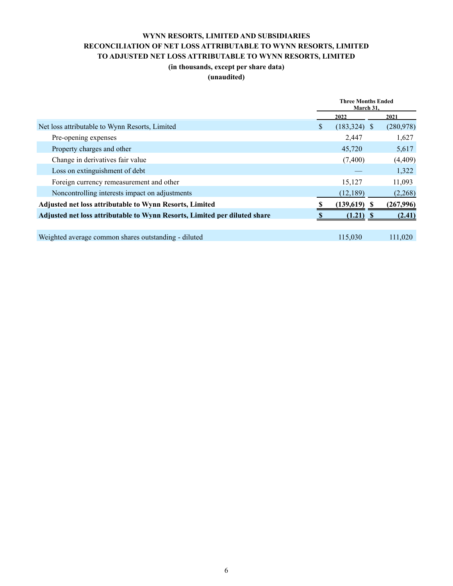# **WYNN RESORTS, LIMITED AND SUBSIDIARIES RECONCILIATION OF NET LOSS ATTRIBUTABLE TO WYNN RESORTS, LIMITED TO ADJUSTED NET LOSS ATTRIBUTABLE TO WYNN RESORTS, LIMITED**

# **(in thousands, except per share data) (unaudited)**

|                                                                           | <b>Three Months Ended</b><br>March 31. |                 |  |           |
|---------------------------------------------------------------------------|----------------------------------------|-----------------|--|-----------|
|                                                                           |                                        | 2022            |  | 2021      |
| Net loss attributable to Wynn Resorts, Limited                            |                                        | $(183, 324)$ \$ |  | (280,978) |
| Pre-opening expenses                                                      |                                        | 2,447           |  | 1,627     |
| Property charges and other                                                |                                        | 45,720          |  | 5,617     |
| Change in derivatives fair value                                          |                                        | (7,400)         |  | (4,409)   |
| Loss on extinguishment of debt                                            |                                        |                 |  | 1,322     |
| Foreign currency remeasurement and other                                  |                                        | 15,127          |  | 11,093    |
| Noncontrolling interests impact on adjustments                            |                                        | (12, 189)       |  | (2,268)   |
| Adjusted net loss attributable to Wynn Resorts, Limited                   |                                        | (139,619)       |  | (267,996) |
| Adjusted net loss attributable to Wynn Resorts, Limited per diluted share |                                        | $(1.21)$ \$     |  | (2.41)    |
|                                                                           |                                        |                 |  |           |
| Weighted average common shares outstanding - diluted                      |                                        | 115,030         |  | 111,020   |

6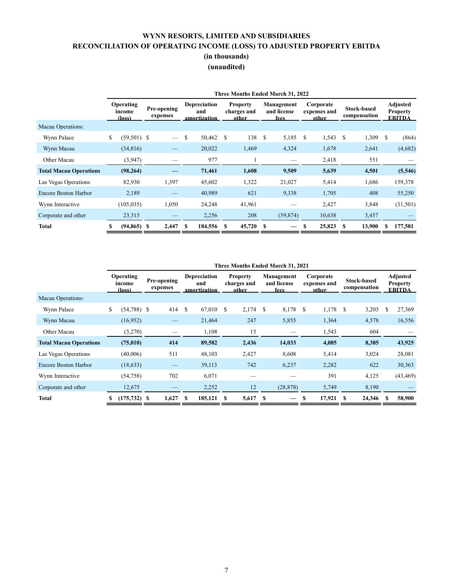# **WYNN RESORTS, LIMITED AND SUBSIDIARIES RECONCILIATION OF OPERATING INCOME (LOSS) TO ADJUSTED PROPERTY EBITDA**

#### **(in thousands)**

#### **(unaudited)**

|                               | Three Months Ended March 31, 2022                               |               |                                            |       |                                         |         |                                   |        |                                    |          |                                    |        |                                              |        |               |          |
|-------------------------------|-----------------------------------------------------------------|---------------|--------------------------------------------|-------|-----------------------------------------|---------|-----------------------------------|--------|------------------------------------|----------|------------------------------------|--------|----------------------------------------------|--------|---------------|----------|
|                               | <b>Operating</b><br>Pre-opening<br>income<br>expenses<br>(loss) |               | <b>Depreciation</b><br>and<br>amortization |       | <b>Property</b><br>charges and<br>other |         | Management<br>and license<br>fees |        | Corporate<br>expenses and<br>other |          | <b>Stock-based</b><br>compensation |        | Adjusted<br><b>Property</b><br><b>EBITDA</b> |        |               |          |
| Macau Operations:             |                                                                 |               |                                            |       |                                         |         |                                   |        |                                    |          |                                    |        |                                              |        |               |          |
| Wynn Palace                   | \$                                                              | $(59,501)$ \$ |                                            |       | \$                                      | 50,462  | S                                 | 138    | -S                                 | 5,185    | -S                                 | 1,543  | S                                            | 1,309  | <sup>\$</sup> | (864)    |
| Wynn Macau                    |                                                                 | (34,816)      |                                            |       |                                         | 20,022  |                                   | 1,469  |                                    | 4,324    |                                    | 1,678  |                                              | 2,641  |               | (4,682)  |
| Other Macau                   |                                                                 | (3,947)       |                                            |       |                                         | 977     |                                   |        |                                    |          |                                    | 2,418  |                                              | 551    |               |          |
| <b>Total Macau Operations</b> |                                                                 | (98, 264)     |                                            |       |                                         | 71,461  |                                   | 1,608  |                                    | 9,509    |                                    | 5,639  |                                              | 4,501  |               | (5,546)  |
| Las Vegas Operations          |                                                                 | 82,930        |                                            | 1,397 |                                         | 45,602  |                                   | 1,322  |                                    | 21,027   |                                    | 5,414  |                                              | 1,686  |               | 159,378  |
| <b>Encore Boston Harbor</b>   |                                                                 | 2,189         |                                            |       |                                         | 40,989  |                                   | 621    |                                    | 9,338    |                                    | 1,705  |                                              | 408    |               | 55,250   |
| Wynn Interactive              |                                                                 | (105, 035)    |                                            | 1,050 |                                         | 24,248  |                                   | 41,961 |                                    |          |                                    | 2,427  |                                              | 3,848  |               | (31,501) |
| Corporate and other           |                                                                 | 23,315        |                                            |       |                                         | 2,256   |                                   | 208    |                                    | (39,874) |                                    | 10,638 |                                              | 3,457  |               |          |
| Total                         |                                                                 | $(94,865)$ \$ |                                            | 2,447 |                                         | 184,556 | -S                                | 45,720 |                                    |          |                                    | 25,823 |                                              | 13,900 |               | 177,581  |

**Three Months Ended March 31, 2021 Operating income (loss) Pre-opening expenses Depreciation and amortization Property charges and other Management and license fees Corporate expenses and other Stock-based compensation Adjusted Property EBITDA** Macau Operations: Wynn Palace \$ (54,788) \$ 414 \$ 67,010 \$ 2,174 \$ 8,178 \$ 1,178 \$ 3,203 \$ 27,369 Wynn Macau (16,952) — 21,464 247 5,855 1,364 4,578 16,556 Other Macau (3,270) — 1,108 15 — 1,543 604 — **Total Macau Operations (75,010) 414 89,582 2,436 14,033 4,085 8,385 43,925** Las Vegas Operations (40,006) 511 48,103 2,427 8,608 5,414 3,024 28,081 Encore Boston Harbor (18,633) — 39,113 742 6,237 2,282 622 30,363 Wynn Interactive (54,758) 702 6,071 - - 391 4,125 (43,469) Corporate and other 12,675 — 2,252 12 (28,878) 5,749 8,190 **Total \$ (175,732) \$ 1,627 \$ 185,121 \$ 5,617 \$ — \$ 17,921 \$ 24,346 \$ 58,900**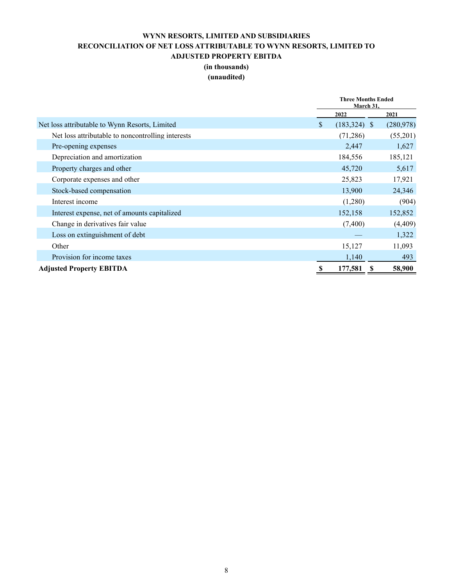# **WYNN RESORTS, LIMITED AND SUBSIDIARIES RECONCILIATION OF NET LOSS ATTRIBUTABLE TO WYNN RESORTS, LIMITED TO ADJUSTED PROPERTY EBITDA**

# **(in thousands)**

# **(unaudited)**

|                                                   |     | <b>Three Months Ended</b><br>March 31, |           |  |  |
|---------------------------------------------------|-----|----------------------------------------|-----------|--|--|
|                                                   |     | 2022                                   | 2021      |  |  |
| Net loss attributable to Wynn Resorts, Limited    | \$. | $(183, 324)$ \$                        | (280,978) |  |  |
| Net loss attributable to noncontrolling interests |     | (71,286)                               | (55,201)  |  |  |
| Pre-opening expenses                              |     | 2,447                                  | 1,627     |  |  |
| Depreciation and amortization                     |     | 184,556                                | 185,121   |  |  |
| Property charges and other                        |     | 45,720                                 | 5,617     |  |  |
| Corporate expenses and other                      |     | 25,823                                 | 17,921    |  |  |
| Stock-based compensation                          |     | 13,900                                 | 24,346    |  |  |
| Interest income                                   |     | (1,280)                                | (904)     |  |  |
| Interest expense, net of amounts capitalized      |     | 152,158                                | 152,852   |  |  |
| Change in derivatives fair value                  |     | (7,400)                                | (4,409)   |  |  |
| Loss on extinguishment of debt                    |     |                                        | 1,322     |  |  |
| Other                                             |     | 15,127                                 | 11,093    |  |  |
| Provision for income taxes                        |     | 1,140                                  | 493       |  |  |
| <b>Adjusted Property EBITDA</b>                   |     | 177,581                                | 58,900    |  |  |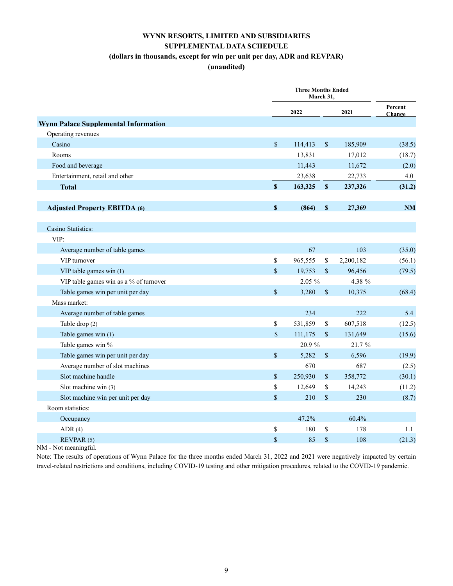# **(dollars in thousands, except for win per unit per day, ADR and REVPAR)**

**(unaudited)**

|                                             |               | 2022    |                    | 2021      | Percent<br>Change |  |
|---------------------------------------------|---------------|---------|--------------------|-----------|-------------------|--|
| <b>Wynn Palace Supplemental Information</b> |               |         |                    |           |                   |  |
| Operating revenues                          |               |         |                    |           |                   |  |
| Casino                                      | \$            | 114,413 | $\sqrt{\ }$        | 185,909   | (38.5)            |  |
| Rooms                                       |               | 13,831  |                    | 17,012    | (18.7)            |  |
| Food and beverage                           |               | 11,443  |                    | 11,672    | (2.0)             |  |
| Entertainment, retail and other             |               | 23,638  |                    | 22,733    | 4.0               |  |
| <b>Total</b>                                | $\mathbf{s}$  | 163,325 | $\mathbf{s}$       | 237,326   | (31.2)            |  |
| <b>Adjusted Property EBITDA (6)</b>         | $\mathbf S$   | (864)   | $\mathbf S$        | 27,369    | NM                |  |
| Casino Statistics:                          |               |         |                    |           |                   |  |
| VIP:                                        |               |         |                    |           |                   |  |
| Average number of table games               |               | 67      |                    | 103       | (35.0)            |  |
| VIP turnover                                | \$            | 965,555 | \$                 | 2,200,182 | (56.1)            |  |
| VIP table games win (1)                     | $\mathbb{S}$  | 19,753  | $\mathbb{S}$       | 96,456    | (79.5)            |  |
| VIP table games win as a % of turnover      |               | 2.05 %  |                    | 4.38 %    |                   |  |
| Table games win per unit per day            | $\mathbb{S}$  | 3,280   | $\sqrt{\ }$        | 10,375    | (68.4)            |  |
| Mass market:                                |               |         |                    |           |                   |  |
| Average number of table games               |               | 234     |                    | 222       | 5.4               |  |
| Table drop (2)                              | $\mathbb S$   | 531,859 | $\mathbb{S}$       | 607,518   | (12.5)            |  |
| Table games win (1)                         | $\mathbb{S}$  | 111,175 | $\mathbf{\hat{S}}$ | 131,649   | (15.6)            |  |
| Table games win %                           |               | 20.9 %  |                    | 21.7 %    |                   |  |
| Table games win per unit per day            | $\mathbb S$   | 5,282   | $\sqrt{\ }$        | 6,596     | (19.9)            |  |
| Average number of slot machines             |               | 670     |                    | 687       | (2.5)             |  |
| Slot machine handle                         | $\mathbb{S}$  | 250,930 | $\mathbb{S}$       | 358,772   | (30.1)            |  |
| Slot machine win (3)                        | $\mathbb{S}$  | 12,649  | \$                 | 14,243    | (11.2)            |  |
| Slot machine win per unit per day           | $\mathsf{\$}$ | 210     | $\mathcal{S}$      | 230       | (8.7)             |  |
| Room statistics:                            |               |         |                    |           |                   |  |
| Occupancy                                   |               | 47.2%   |                    | 60.4%     |                   |  |
| ADR(4)                                      | \$            | 180     | \$                 | 178       | 1.1               |  |
| REVPAR(5)                                   | \$            | 85      | \$                 | 108       | (21.3)            |  |

NM - Not meaningful.

Note: The results of operations of Wynn Palace for the three months ended March 31, 2022 and 2021 were negatively impacted by certain travel-related restrictions and conditions, including COVID-19 testing and other mitigation procedures, related to the COVID-19 pandemic.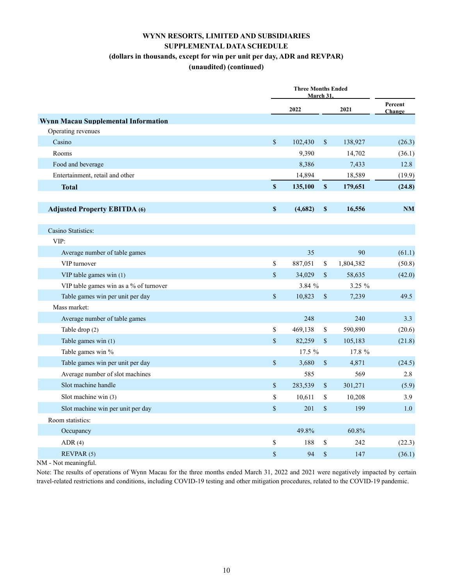# **(dollars in thousands, except for win per unit per day, ADR and REVPAR)**

**(unaudited) (continued)**

|                                            |              | <b>Three Months Ended</b><br>March 31, |                    |           |                   |  |
|--------------------------------------------|--------------|----------------------------------------|--------------------|-----------|-------------------|--|
|                                            |              | 2022                                   | 2021               |           | Percent<br>Change |  |
| <b>Wynn Macau Supplemental Information</b> |              |                                        |                    |           |                   |  |
| Operating revenues                         |              |                                        |                    |           |                   |  |
| Casino                                     | \$           | 102,430                                | \$                 | 138,927   | (26.3)            |  |
| Rooms                                      |              | 9,390                                  |                    | 14,702    | (36.1)            |  |
| Food and beverage                          |              | 8,386                                  |                    | 7,433     | 12.8              |  |
| Entertainment, retail and other            |              | 14,894                                 |                    | 18,589    | (19.9)            |  |
| <b>Total</b>                               | $\mathbf S$  | 135,100                                | $\pmb{\mathbb{S}}$ | 179,651   | (24.8)            |  |
| <b>Adjusted Property EBITDA (6)</b>        | $\mathbb S$  | (4,682)                                | $\mathbb S$        | 16,556    | <b>NM</b>         |  |
| Casino Statistics:                         |              |                                        |                    |           |                   |  |
| VIP:                                       |              |                                        |                    |           |                   |  |
| Average number of table games              |              | 35                                     |                    | 90        | (61.1)            |  |
| VIP turnover                               | \$           | 887,051                                | \$                 | 1,804,382 | (50.8)            |  |
| VIP table games win (1)                    | \$           | 34,029                                 | $\mathcal{S}$      | 58,635    | (42.0)            |  |
| VIP table games win as a % of turnover     |              | 3.84 %                                 |                    | $3.25\%$  |                   |  |
| Table games win per unit per day           | $\,$         | 10,823                                 | $\$$               | 7,239     | 49.5              |  |
| Mass market:                               |              |                                        |                    |           |                   |  |
| Average number of table games              |              | 248                                    |                    | 240       | 3.3               |  |
| Table drop (2)                             | \$           | 469,138                                | \$                 | 590,890   | (20.6)            |  |
| Table games win (1)                        | $\mathbb{S}$ | 82,259                                 | $\mathcal{S}$      | 105,183   | (21.8)            |  |
| Table games win %                          |              | 17.5 %                                 |                    | 17.8 %    |                   |  |
| Table games win per unit per day           | $\mathbb S$  | 3,680                                  | $\$$               | 4,871     | (24.5)            |  |
| Average number of slot machines            |              | 585                                    |                    | 569       | 2.8               |  |
| Slot machine handle                        | $\mathbb S$  | 283,539                                | \$                 | 301,271   | (5.9)             |  |
| Slot machine win (3)                       | \$           | 10,611                                 | \$                 | 10,208    | 3.9               |  |
| Slot machine win per unit per day          | \$           | 201                                    | \$                 | 199       | 1.0               |  |
| Room statistics:                           |              |                                        |                    |           |                   |  |
| Occupancy                                  |              | 49.8%                                  |                    | 60.8%     |                   |  |
| ADR(4)                                     | \$           | 188                                    | \$                 | 242       | (22.3)            |  |
| REVPAR(5)                                  | \$           | 94                                     | $\mathbb{S}$       | 147       | (36.1)            |  |

NM - Not meaningful.

Note: The results of operations of Wynn Macau for the three months ended March 31, 2022 and 2021 were negatively impacted by certain travel-related restrictions and conditions, including COVID-19 testing and other mitigation procedures, related to the COVID-19 pandemic.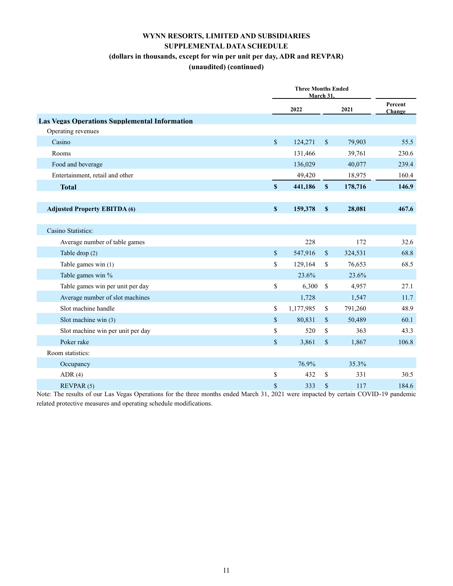# **(dollars in thousands, except for win per unit per day, ADR and REVPAR)**

**(unaudited) (continued)**

|                                                      |              | <b>Three Months Ended</b><br>March 31, |                           |         |                   |  |
|------------------------------------------------------|--------------|----------------------------------------|---------------------------|---------|-------------------|--|
|                                                      |              | 2022                                   | 2021                      |         | Percent<br>Change |  |
| <b>Las Vegas Operations Supplemental Information</b> |              |                                        |                           |         |                   |  |
| Operating revenues                                   |              |                                        |                           |         |                   |  |
| Casino                                               | \$           | 124,271                                | $\sqrt{\ }$               | 79,903  | 55.5              |  |
| Rooms                                                |              | 131,466                                |                           | 39,761  | 230.6             |  |
| Food and beverage                                    |              | 136,029                                |                           | 40,077  | 239.4             |  |
| Entertainment, retail and other                      |              | 49,420                                 |                           | 18,975  | 160.4             |  |
| <b>Total</b>                                         | $\mathbf S$  | 441,186                                | $\mathbf{s}$              | 178,716 | 146.9             |  |
|                                                      |              |                                        |                           |         |                   |  |
| <b>Adjusted Property EBITDA (6)</b>                  | $\mathbb S$  | 159,378                                | $\mathbb S$               | 28,081  | 467.6             |  |
|                                                      |              |                                        |                           |         |                   |  |
| Casino Statistics:                                   |              |                                        |                           |         |                   |  |
| Average number of table games                        |              | 228                                    |                           | 172     | 32.6              |  |
| Table drop (2)                                       | \$           | 547,916                                | $\mathbb{S}$              | 324,531 | 68.8              |  |
| Table games win (1)                                  | \$           | 129,164                                | S.                        | 76,653  | 68.5              |  |
| Table games win %                                    |              | 23.6%                                  |                           | 23.6%   |                   |  |
| Table games win per unit per day                     | \$           | 6,300                                  | $\mathbb{S}$              | 4,957   | 27.1              |  |
| Average number of slot machines                      |              | 1,728                                  |                           | 1,547   | 11.7              |  |
| Slot machine handle                                  | \$           | 1,177,985                              | $\mathbf S$               | 791,260 | 48.9              |  |
| Slot machine win (3)                                 | $\mathbb{S}$ | 80,831                                 | $\boldsymbol{\mathsf{S}}$ | 50,489  | 60.1              |  |
| Slot machine win per unit per day                    | \$           | 520                                    | \$                        | 363     | 43.3              |  |
| Poker rake                                           | \$           | 3,861                                  | \$                        | 1,867   | 106.8             |  |
| Room statistics:                                     |              |                                        |                           |         |                   |  |
| Occupancy                                            |              | 76.9%                                  |                           | 35.3%   |                   |  |
| ADR(4)                                               | \$           | 432                                    | \$                        | 331     | 30.5              |  |
| REVPAR <sub>(5)</sub>                                | \$           | 333                                    | \$                        | 117     | 184.6             |  |

Note: The results of our Las Vegas Operations for the three months ended March 31, 2021 were impacted by certain COVID-19 pandemic related protective measures and operating schedule modifications.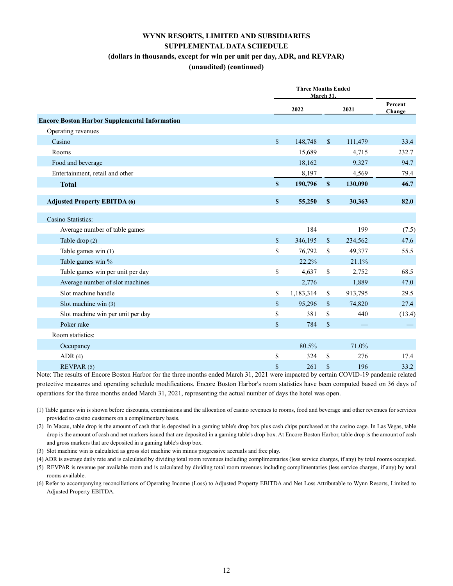#### **(dollars in thousands, except for win per unit per day, ADR, and REVPAR)**

**(unaudited) (continued)**

|                                                      |                           | <b>Three Months Ended</b><br>March 31, |                    |         |                   |  |
|------------------------------------------------------|---------------------------|----------------------------------------|--------------------|---------|-------------------|--|
|                                                      |                           | 2022                                   |                    | 2021    | Percent<br>Change |  |
| <b>Encore Boston Harbor Supplemental Information</b> |                           |                                        |                    |         |                   |  |
| Operating revenues                                   |                           |                                        |                    |         |                   |  |
| Casino                                               | $\mathsf{\$}$             | 148,748                                | $\mathbf{\hat{S}}$ | 111,479 | 33.4              |  |
| Rooms                                                |                           | 15,689                                 |                    | 4,715   | 232.7             |  |
| Food and beverage                                    |                           | 18,162                                 |                    | 9,327   | 94.7              |  |
| Entertainment, retail and other                      |                           | 8,197                                  |                    | 4,569   | 79.4              |  |
| <b>Total</b>                                         | $\mathbf{s}$              | 190,796                                | $\mathbf{s}$       | 130,090 | 46.7              |  |
| <b>Adjusted Property EBITDA (6)</b>                  | $\mathbf{s}$              | 55,250                                 | $\mathbf{s}$       | 30,363  | 82.0              |  |
| Casino Statistics:                                   |                           |                                        |                    |         |                   |  |
| Average number of table games                        |                           | 184                                    |                    | 199     | (7.5)             |  |
| Table drop (2)                                       | $\sqrt{\ }$               | 346,195                                | $\mathbb{S}$       | 234,562 | 47.6              |  |
| Table games win (1)                                  | $\mathbf S$               | 76,792                                 | \$                 | 49,377  | 55.5              |  |
| Table games win %                                    |                           | 22.2%                                  |                    | 21.1%   |                   |  |
| Table games win per unit per day                     | $\mathbf S$               | 4,637                                  | $\mathbf S$        | 2,752   | 68.5              |  |
| Average number of slot machines                      |                           | 2,776                                  |                    | 1,889   | 47.0              |  |
| Slot machine handle                                  | \$                        | 1,183,314                              | S.                 | 913,795 | 29.5              |  |
| Slot machine win (3)                                 | $\mathbb{S}$              | 95,296                                 | $\mathbb{S}$       | 74,820  | 27.4              |  |
| Slot machine win per unit per day                    | $\mathbb{S}$              | 381                                    | \$                 | 440     | (13.4)            |  |
| Poker rake                                           | $\boldsymbol{\mathsf{S}}$ | 784                                    | \$                 |         |                   |  |
| Room statistics:                                     |                           |                                        |                    |         |                   |  |
| Occupancy                                            |                           | 80.5%                                  |                    | 71.0%   |                   |  |
| ADR(4)                                               | \$                        | 324                                    | \$                 | 276     | 17.4              |  |
| REVPAR <sup>(5)</sup>                                | \$                        | 261                                    | \$                 | 196     | 33.2              |  |

Note: The results of Encore Boston Harbor for the three months ended March 31, 2021 were impacted by certain COVID-19 pandemic related protective measures and operating schedule modifications. Encore Boston Harbor's room statistics have been computed based on 36 days of operations for the three months ended March 31, 2021, representing the actual number of days the hotel was open.

(1) Table games win is shown before discounts, commissions and the allocation of casino revenues to rooms, food and beverage and other revenues for services provided to casino customers on a complimentary basis.

(2) In Macau, table drop is the amount of cash that is deposited in a gaming table's drop box plus cash chips purchased at the casino cage. In Las Vegas, table drop is the amount of cash and net markers issued that are deposited in a gaming table's drop box. At Encore Boston Harbor, table drop is the amount of cash and gross markers that are deposited in a gaming table's drop box.

(3) Slot machine win is calculated as gross slot machine win minus progressive accruals and free play.

(4) ADR is average daily rate and is calculated by dividing total room revenues including complimentaries (less service charges, if any) by total rooms occupied.

(5) REVPAR is revenue per available room and is calculated by dividing total room revenues including complimentaries (less service charges, if any) by total rooms available.

(6) Refer to accompanying reconciliations of Operating Income (Loss) to Adjusted Property EBITDA and Net Loss Attributable to Wynn Resorts, Limited to Adjusted Property EBITDA.